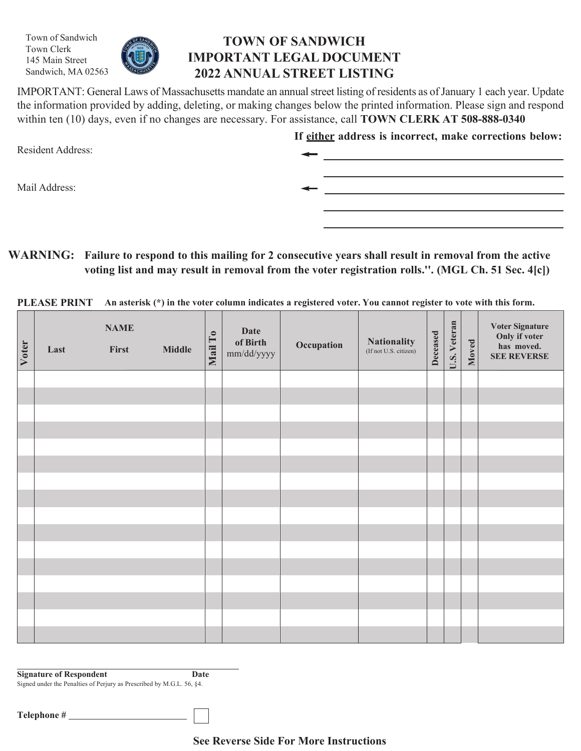Town of Sandwich Town Clerk 145 Main Street Sandwich, MA 02563



## **TOWN OF SANDWICH IMPORTANT LEGAL DOCUMENT 2022 ANNUAL STREET LISTING**

IMPORTANT: General Laws of Massachusetts mandate an annual street listing of residents as of January 1 each year. Update the information provided by adding, deleting, or making changes below the printed information. Please sign and respond within ten (10) days, even if no changes are necessary. For assistance, call **TOWN CLERK AT 508-888-0340**

| <b>Resident Address:</b> | If either address is incorrect, make corrections below: |
|--------------------------|---------------------------------------------------------|
| Mail Address:            |                                                         |
|                          |                                                         |

**WARNING: Failure to respond to this mailing for 2 consecutive years shall result in removal from the active voting list and may result in removal from the voter registration rolls.''. (MGL Ch. 51 Sec. 4[c])**

PLEASE PRINT An asterisk (\*) in the voter column indicates a registered voter. You cannot register to vote with this form.

| Voter | Last | <b>NAME</b><br>First | <b>Middle</b> | Mail To | <b>Date</b><br>of Birth<br>mm/dd/yyyy | Occupation | <b>Nationality</b><br>(If not U.S. citizen) | Deceased | U.S. Veteran | Moved | Voter Signature<br>Only if voter<br>has moved.<br><b>SEE REVERSE</b> |
|-------|------|----------------------|---------------|---------|---------------------------------------|------------|---------------------------------------------|----------|--------------|-------|----------------------------------------------------------------------|
|       |      |                      |               |         |                                       |            |                                             |          |              |       |                                                                      |
|       |      |                      |               |         |                                       |            |                                             |          |              |       |                                                                      |
|       |      |                      |               |         |                                       |            |                                             |          |              |       |                                                                      |
|       |      |                      |               |         |                                       |            |                                             |          |              |       |                                                                      |
|       |      |                      |               |         |                                       |            |                                             |          |              |       |                                                                      |
|       |      |                      |               |         |                                       |            |                                             |          |              |       |                                                                      |
|       |      |                      |               |         |                                       |            |                                             |          |              |       |                                                                      |
|       |      |                      |               |         |                                       |            |                                             |          |              |       |                                                                      |
|       |      |                      |               |         |                                       |            |                                             |          |              |       |                                                                      |
|       |      |                      |               |         |                                       |            |                                             |          |              |       |                                                                      |
|       |      |                      |               |         |                                       |            |                                             |          |              |       |                                                                      |
|       |      |                      |               |         |                                       |            |                                             |          |              |       |                                                                      |
|       |      |                      |               |         |                                       |            |                                             |          |              |       |                                                                      |
|       |      |                      |               |         |                                       |            |                                             |          |              |       |                                                                      |
|       |      |                      |               |         |                                       |            |                                             |          |              |       |                                                                      |
|       |      |                      |               |         |                                       |            |                                             |          |              |       |                                                                      |

**Signature of Respondent Date** Signed under the Penalties of Perjury as Prescribed by M.G.L. 56, §4.

**Telephone #**